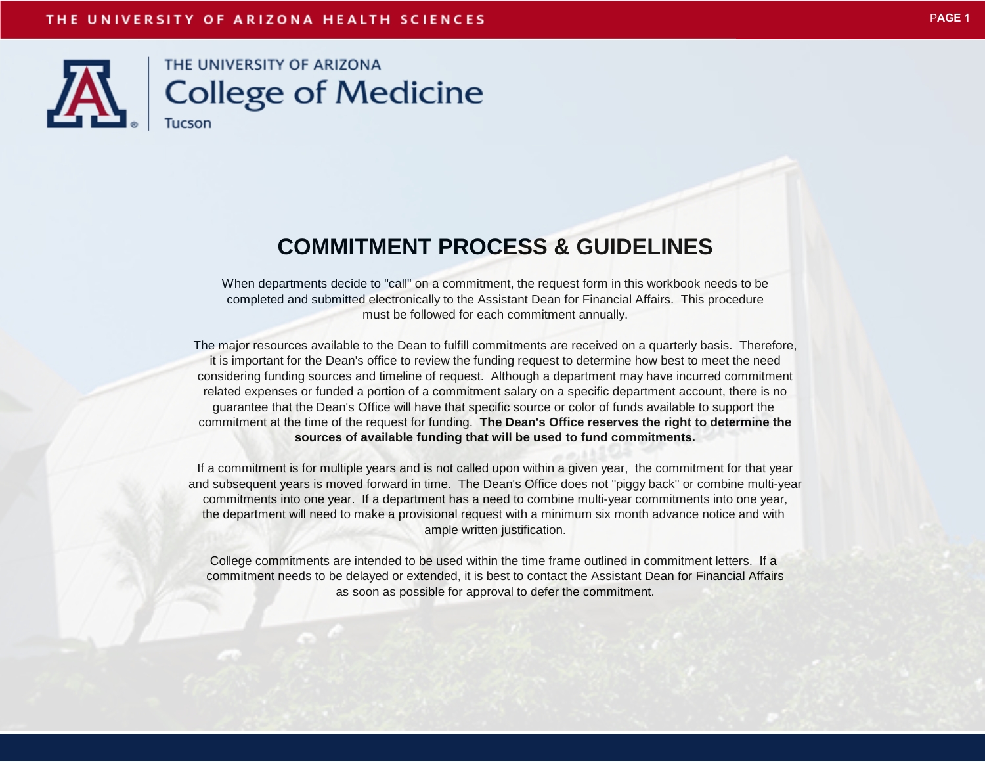

## **COMMITMENT PROCESS & GUIDELINES**

When departments decide to "call" on a commitment, the request form in this workbook needs to be completed and submitted electronically to the Assistant Dean for Financial Affairs. This procedure must be followed for each commitment annually.

The major resources available to the Dean to fulfill commitments are received on a quarterly basis. Therefore, it is important for the Dean's office to review the funding request to determine how best to meet the need considering funding sources and timeline of request. Although a department may have incurred commitment related expenses or funded a portion of a commitment salary on a specific department account, there is no guarantee that the Dean's Office will have that specific source or color of funds available to support the commitment at the time of the request for funding. **The Dean's Office reserves the right to determine the sources of available funding that will be used to fund commitments.**

If a commitment is for multiple years and is not called upon within a given year, the commitment for that year and subsequent years is moved forward in time. The Dean's Office does not "piggy back" or combine multi-year commitments into one year. If a department has a need to combine multi-year commitments into one year, the department will need to make a provisional request with a minimum six month advance notice and with ample written justification.

College commitments are intended to be used within the time frame outlined in commitment letters. If a commitment needs to be delayed or extended, it is best to contact the Assistant Dean for Financial Affairs as soon as possible for approval to defer the commitment.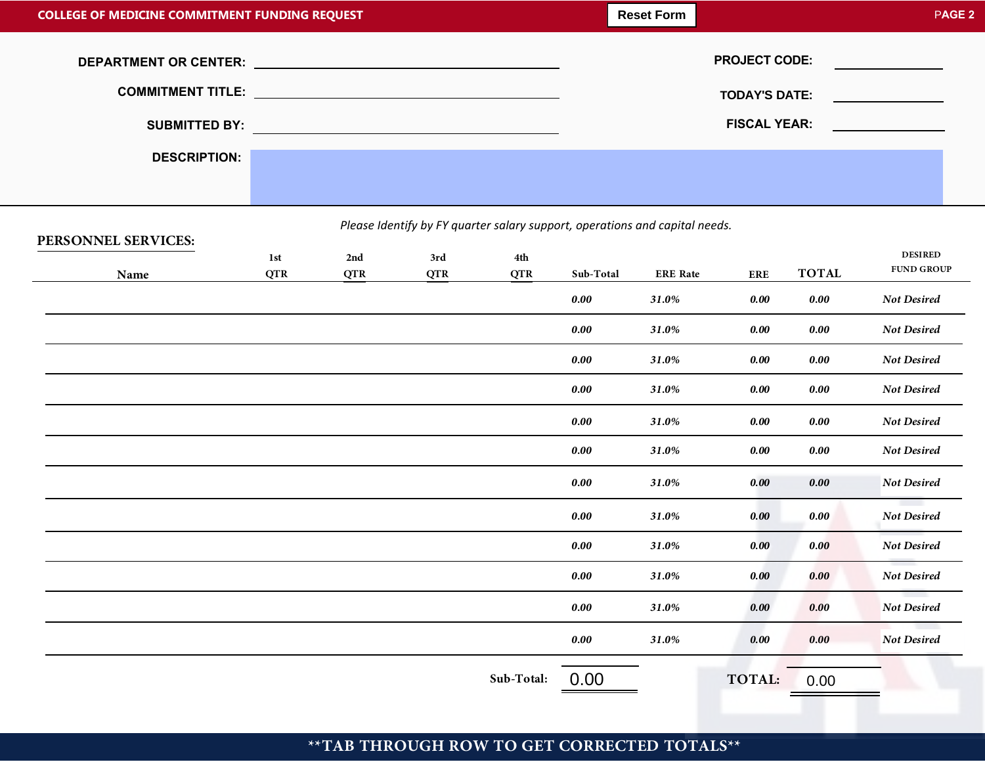| <b>COLLEGE OF MEDICINE COMMITMENT FUNDING REQUEST</b> |  |  |                      | PAGE <sub>2</sub>                                                                                                    |
|-------------------------------------------------------|--|--|----------------------|----------------------------------------------------------------------------------------------------------------------|
|                                                       |  |  | <b>PROJECT CODE:</b> | <u> Albanya di Bandari Serikat Bandari Serikat Bandari Serikat Bandari Serikat Bandari Serikat Bandari Serikat B</u> |
|                                                       |  |  | <b>TODAY'S DATE:</b> | the company's company's company's                                                                                    |
| <b>SUBMITTED BY:</b>                                  |  |  | <b>FISCAL YEAR:</b>  | <u> 1990 - John Stone</u>                                                                                            |
| <b>DESCRIPTION:</b>                                   |  |  |                      |                                                                                                                      |
|                                                       |  |  |                      |                                                                                                                      |

## *Please Identify by FY quarter salary support, operations and capital needs.*

## **QTR PERSONNEL SERVICES***:* **QTR COUP QTR Sub-Total ERE RE ERE TOTAL 1st** 2nd 3rd 4th<br> **Name QTR QTR QTR QTR CQTR Sub-Total ERE** Rate **ERE Sub-Total: DESIRED FUND GROUP 0.00 TOTAL:** 0.00 *0.00 31.0% 0.00 0.00 Not Desired 0.00 31.0% 0.00 0.00 Not Desired 0.00 31.0% 0.00 0.00 Not Desired 0.00 31.0% 0.00 0.00 Not Desired 0.00 31.0% 0.00 0.00 Not Desired 0.00 31.0% 0.00 0.00 Not Desired 0.00 31.0% 0.00 0.00 Not Desired 0.00 31.0% 0.00 0.00 Not Desired 0.00 31.0% 0.00 0.00 Not Desired 0.00 31.0% 0.00 0.00 Not Desired 0.00 31.0% 0.00 0.00 Not Desired 0.00 31.0% 0.00 0.00 Not Desired*

## **\*\*TAB THROUGH ROW TO GET CORRECTED TOTALS\*\***